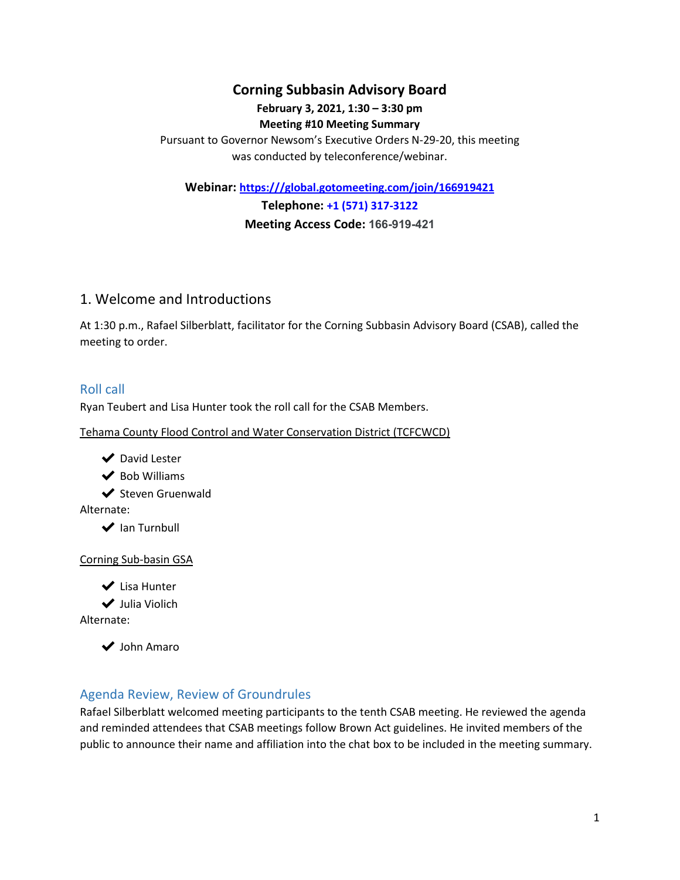## **Corning Subbasin Advisory Board**

#### **February 3, 2021, 1:30 – 3:30 pm Meeting #10 Meeting Summary**

Pursuant to Governor Newsom's Executive Orders N-29-20, this meeting was conducted by teleconference/webinar.

**Webinar: [h](https://global.gotomeeting.com/join/608617589)ttps:///global.gotomeeting.com/join/166919421**

**Telephone: +1 (571) 317-3122 Meeting Access Code: 166-919-421**

## 1. Welcome and Introductions

At 1:30 p.m., Rafael Silberblatt, facilitator for the Corning Subbasin Advisory Board (CSAB), called the meeting to order.

### Roll call

Ryan Teubert and Lisa Hunter took the roll call for the CSAB Members.

Tehama County Flood Control and Water Conservation District (TCFCWCD)

- ◆ David Lester
- $\blacktriangleright$  Bob Williams

✔ Steven Gruenwald

Alternate:

◆ Ian Turnbull

#### Corning Sub-basin GSA

- ✔ Lisa Hunter
- ✔ Julia Violich

Alternate:

◆ John Amaro

### Agenda Review, Review of Groundrules

Rafael Silberblatt welcomed meeting participants to the tenth CSAB meeting. He reviewed the agenda and reminded attendees that CSAB meetings follow Brown Act guidelines. He invited members of the public to announce their name and affiliation into the chat box to be included in the meeting summary.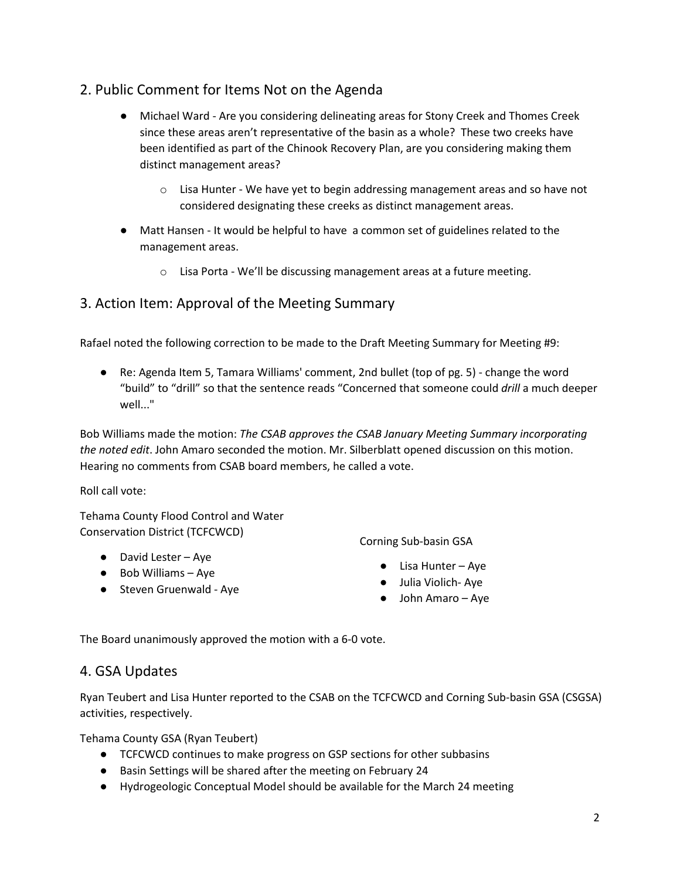# 2. Public Comment for Items Not on the Agenda

- Michael Ward Are you considering delineating areas for Stony Creek and Thomes Creek since these areas aren't representative of the basin as a whole? These two creeks have been identified as part of the Chinook Recovery Plan, are you considering making them distinct management areas?
	- $\circ$  Lisa Hunter We have yet to begin addressing management areas and so have not considered designating these creeks as distinct management areas.
- Matt Hansen It would be helpful to have a common set of guidelines related to the management areas.
	- $\circ$  Lisa Porta We'll be discussing management areas at a future meeting.

# 3. Action Item: Approval of the Meeting Summary

Rafael noted the following correction to be made to the Draft Meeting Summary for Meeting #9:

● Re: Agenda Item 5, Tamara Williams' comment, 2nd bullet (top of pg. 5) - change the word "build" to "drill" so that the sentence reads "Concerned that someone could *drill* a much deeper well..."

Bob Williams made the motion: *The CSAB approves the CSAB January Meeting Summary incorporating the noted edit*. John Amaro seconded the motion. Mr. Silberblatt opened discussion on this motion. Hearing no comments from CSAB board members, he called a vote.

Roll call vote:

Tehama County Flood Control and Water Conservation District (TCFCWCD)

- David Lester Aye
- Bob Williams Aye
- Steven Gruenwald Aye

Corning Sub-basin GSA

- Lisa Hunter Aye
- Julia Violich- Aye
- John Amaro Aye

The Board unanimously approved the motion with a 6-0 vote.

## 4. GSA Updates

Ryan Teubert and Lisa Hunter reported to the CSAB on the TCFCWCD and Corning Sub-basin GSA (CSGSA) activities, respectively.

Tehama County GSA (Ryan Teubert)

- TCFCWCD continues to make progress on GSP sections for other subbasins
- Basin Settings will be shared after the meeting on February 24
- Hydrogeologic Conceptual Model should be available for the March 24 meeting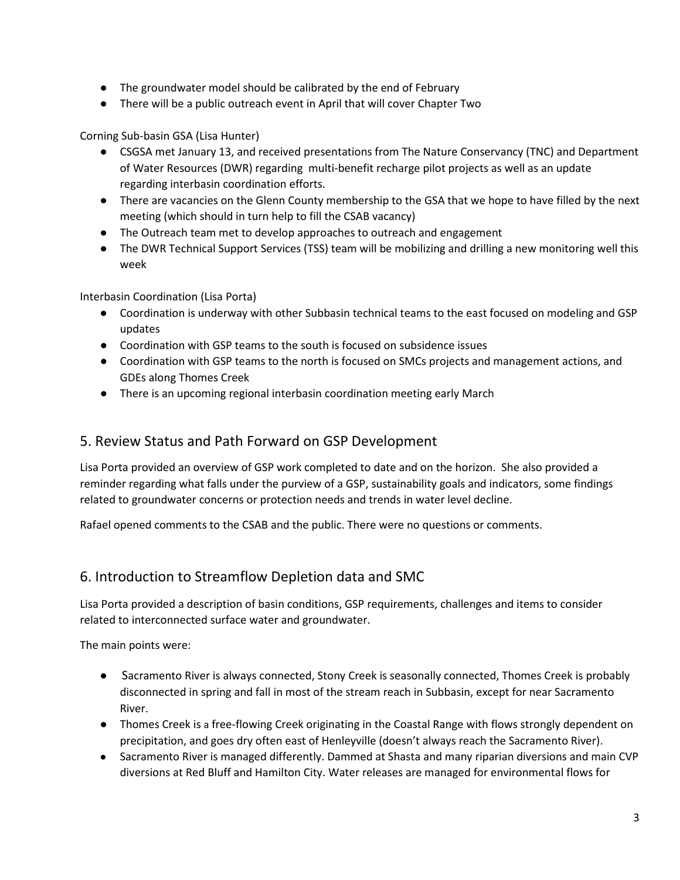- The groundwater model should be calibrated by the end of February
- There will be a public outreach event in April that will cover Chapter Two

Corning Sub-basin GSA (Lisa Hunter)

- CSGSA met January 13, and received presentations from The Nature Conservancy (TNC) and Department of Water Resources (DWR) regarding multi-benefit recharge pilot projects as well as an update regarding interbasin coordination efforts.
- There are vacancies on the Glenn County membership to the GSA that we hope to have filled by the next meeting (which should in turn help to fill the CSAB vacancy)
- The Outreach team met to develop approaches to outreach and engagement
- The DWR Technical Support Services (TSS) team will be mobilizing and drilling a new monitoring well this week

Interbasin Coordination (Lisa Porta)

- Coordination is underway with other Subbasin technical teams to the east focused on modeling and GSP updates
- Coordination with GSP teams to the south is focused on subsidence issues
- Coordination with GSP teams to the north is focused on SMCs projects and management actions, and GDEs along Thomes Creek
- There is an upcoming regional interbasin coordination meeting early March

### 5. Review Status and Path Forward on GSP Development

Lisa Porta provided an overview of GSP work completed to date and on the horizon. She also provided a reminder regarding what falls under the purview of a GSP, sustainability goals and indicators, some findings related to groundwater concerns or protection needs and trends in water level decline.

Rafael opened comments to the CSAB and the public. There were no questions or comments.

## 6. Introduction to Streamflow Depletion data and SMC

Lisa Porta provided a description of basin conditions, GSP requirements, challenges and items to consider related to interconnected surface water and groundwater.

The main points were:

- Sacramento River is always connected, Stony Creek is seasonally connected, Thomes Creek is probably disconnected in spring and fall in most of the stream reach in Subbasin, except for near Sacramento River.
- Thomes Creek is a free-flowing Creek originating in the Coastal Range with flows strongly dependent on precipitation, and goes dry often east of Henleyville (doesn't always reach the Sacramento River).
- Sacramento River is managed differently. Dammed at Shasta and many riparian diversions and main CVP diversions at Red Bluff and Hamilton City. Water releases are managed for environmental flows for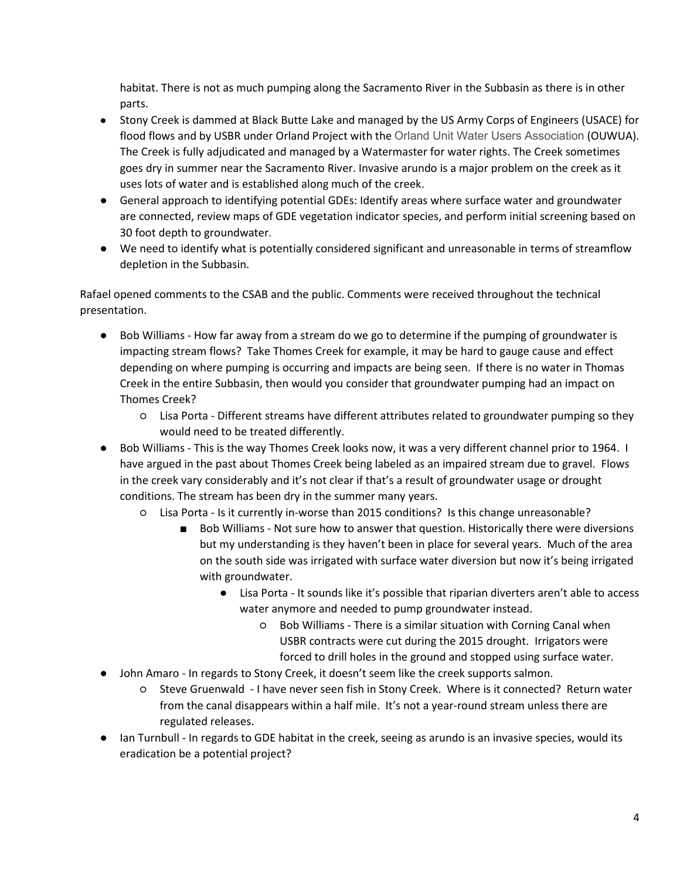habitat. There is not as much pumping along the Sacramento River in the Subbasin as there is in other parts.

- Stony Creek is dammed at Black Butte Lake and managed by the US Army Corps of Engineers (USACE) for flood flows and by USBR under Orland Project with the Orland Unit Water Users Association (OUWUA). The Creek is fully adjudicated and managed by a Watermaster for water rights. The Creek sometimes goes dry in summer near the Sacramento River. Invasive arundo is a major problem on the creek as it uses lots of water and is established along much of the creek.
- General approach to identifying potential GDEs: Identify areas where surface water and groundwater are connected, review maps of GDE vegetation indicator species, and perform initial screening based on 30 foot depth to groundwater.
- We need to identify what is potentially considered significant and unreasonable in terms of streamflow depletion in the Subbasin.

Rafael opened comments to the CSAB and the public. Comments were received throughout the technical presentation.

- Bob Williams How far away from a stream do we go to determine if the pumping of groundwater is impacting stream flows? Take Thomes Creek for example, it may be hard to gauge cause and effect depending on where pumping is occurring and impacts are being seen. If there is no water in Thomas Creek in the entire Subbasin, then would you consider that groundwater pumping had an impact on Thomes Creek?
	- Lisa Porta Different streams have different attributes related to groundwater pumping so they would need to be treated differently.
- Bob Williams This is the way Thomes Creek looks now, it was a very different channel prior to 1964. I have argued in the past about Thomes Creek being labeled as an impaired stream due to gravel. Flows in the creek vary considerably and it's not clear if that's a result of groundwater usage or drought conditions. The stream has been dry in the summer many years.
	- Lisa Porta Is it currently in-worse than 2015 conditions? Is this change unreasonable?
		- Bob Williams Not sure how to answer that question. Historically there were diversions but my understanding is they haven't been in place for several years. Much of the area on the south side was irrigated with surface water diversion but now it's being irrigated with groundwater.
			- Lisa Porta It sounds like it's possible that riparian diverters aren't able to access water anymore and needed to pump groundwater instead.
				- Bob Williams There is a similar situation with Corning Canal when USBR contracts were cut during the 2015 drought. Irrigators were forced to drill holes in the ground and stopped using surface water.
- John Amaro In regards to Stony Creek, it doesn't seem like the creek supports salmon.
	- Steve Gruenwald I have never seen fish in Stony Creek. Where is it connected? Return water from the canal disappears within a half mile. It's not a year-round stream unless there are regulated releases.
- Ian Turnbull In regards to GDE habitat in the creek, seeing as arundo is an invasive species, would its eradication be a potential project?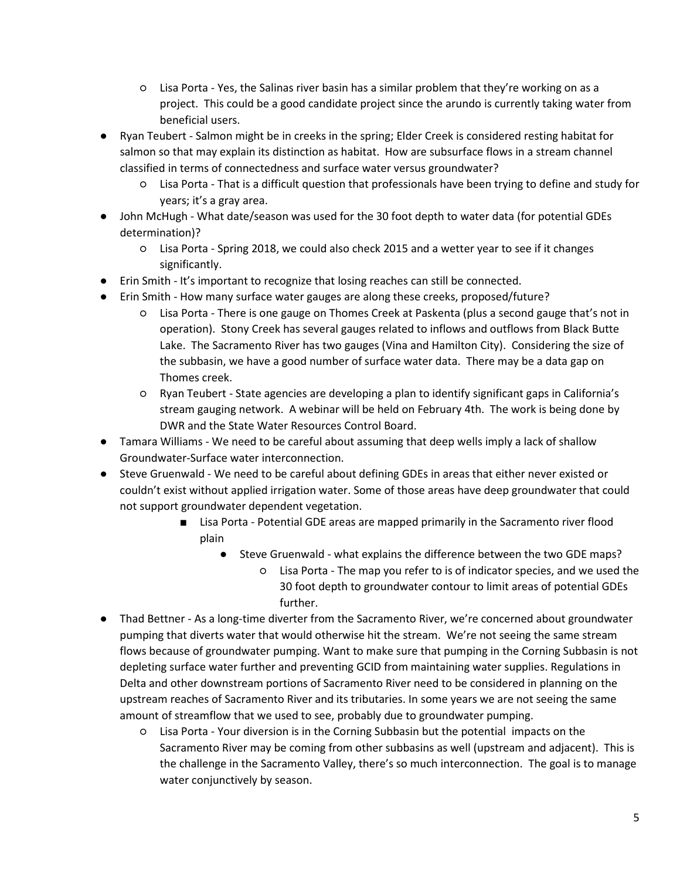- Lisa Porta Yes, the Salinas river basin has a similar problem that they're working on as a project. This could be a good candidate project since the arundo is currently taking water from beneficial users.
- Ryan Teubert Salmon might be in creeks in the spring; Elder Creek is considered resting habitat for salmon so that may explain its distinction as habitat. How are subsurface flows in a stream channel classified in terms of connectedness and surface water versus groundwater?
	- Lisa Porta That is a difficult question that professionals have been trying to define and study for years; it's a gray area.
- John McHugh What date/season was used for the 30 foot depth to water data (for potential GDEs determination)?
	- Lisa Porta Spring 2018, we could also check 2015 and a wetter year to see if it changes significantly.
- Erin Smith It's important to recognize that losing reaches can still be connected.
- Erin Smith How many surface water gauges are along these creeks, proposed/future?
	- Lisa Porta There is one gauge on Thomes Creek at Paskenta (plus a second gauge that's not in operation). Stony Creek has several gauges related to inflows and outflows from Black Butte Lake. The Sacramento River has two gauges (Vina and Hamilton City). Considering the size of the subbasin, we have a good number of surface water data. There may be a data gap on Thomes creek.
	- Ryan Teubert State agencies are developing a plan to identify significant gaps in California's stream gauging network. A webinar will be held on February 4th. The work is being done by DWR and the State Water Resources Control Board.
- Tamara Williams We need to be careful about assuming that deep wells imply a lack of shallow Groundwater-Surface water interconnection.
- Steve Gruenwald We need to be careful about defining GDEs in areas that either never existed or couldn't exist without applied irrigation water. Some of those areas have deep groundwater that could not support groundwater dependent vegetation.
	- Lisa Porta Potential GDE areas are mapped primarily in the Sacramento river flood plain
		- Steve Gruenwald what explains the difference between the two GDE maps?
			- Lisa Porta The map you refer to is of indicator species, and we used the 30 foot depth to groundwater contour to limit areas of potential GDEs further.
- Thad Bettner As a long-time diverter from the Sacramento River, we're concerned about groundwater pumping that diverts water that would otherwise hit the stream. We're not seeing the same stream flows because of groundwater pumping. Want to make sure that pumping in the Corning Subbasin is not depleting surface water further and preventing GCID from maintaining water supplies. Regulations in Delta and other downstream portions of Sacramento River need to be considered in planning on the upstream reaches of Sacramento River and its tributaries. In some years we are not seeing the same amount of streamflow that we used to see, probably due to groundwater pumping.
	- Lisa Porta Your diversion is in the Corning Subbasin but the potential impacts on the Sacramento River may be coming from other subbasins as well (upstream and adjacent). This is the challenge in the Sacramento Valley, there's so much interconnection. The goal is to manage water conjunctively by season.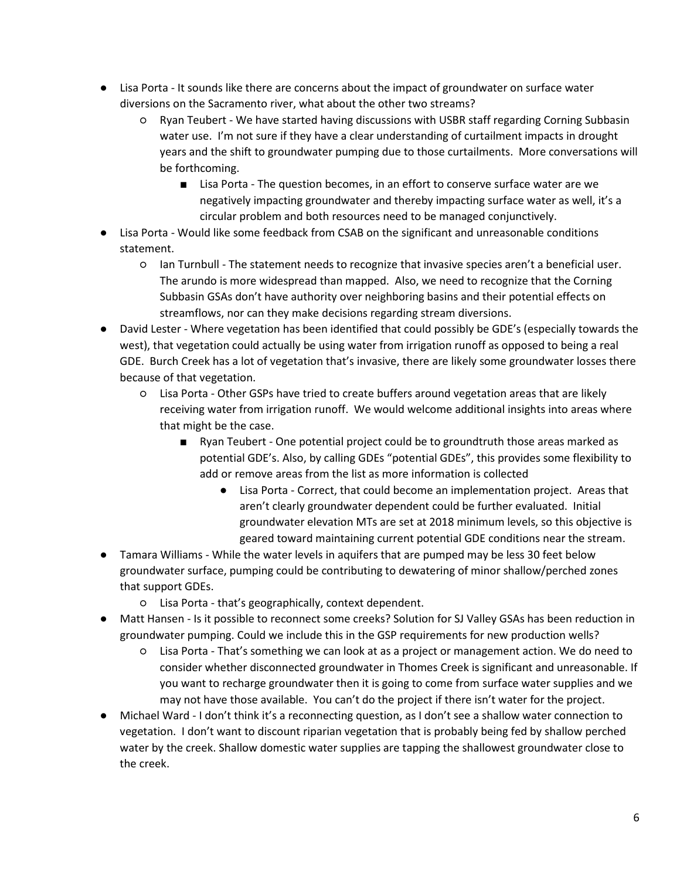- Lisa Porta It sounds like there are concerns about the impact of groundwater on surface water diversions on the Sacramento river, what about the other two streams?
	- Ryan Teubert We have started having discussions with USBR staff regarding Corning Subbasin water use. I'm not sure if they have a clear understanding of curtailment impacts in drought years and the shift to groundwater pumping due to those curtailments. More conversations will be forthcoming.
		- Lisa Porta The question becomes, in an effort to conserve surface water are we negatively impacting groundwater and thereby impacting surface water as well, it's a circular problem and both resources need to be managed conjunctively.
- Lisa Porta Would like some feedback from CSAB on the significant and unreasonable conditions statement.
	- Ian Turnbull The statement needs to recognize that invasive species aren't a beneficial user. The arundo is more widespread than mapped. Also, we need to recognize that the Corning Subbasin GSAs don't have authority over neighboring basins and their potential effects on streamflows, nor can they make decisions regarding stream diversions.
- David Lester Where vegetation has been identified that could possibly be GDE's (especially towards the west), that vegetation could actually be using water from irrigation runoff as opposed to being a real GDE. Burch Creek has a lot of vegetation that's invasive, there are likely some groundwater losses there because of that vegetation.
	- Lisa Porta Other GSPs have tried to create buffers around vegetation areas that are likely receiving water from irrigation runoff. We would welcome additional insights into areas where that might be the case.
		- Ryan Teubert One potential project could be to groundtruth those areas marked as potential GDE's. Also, by calling GDEs "potential GDEs", this provides some flexibility to add or remove areas from the list as more information is collected
			- Lisa Porta Correct, that could become an implementation project. Areas that aren't clearly groundwater dependent could be further evaluated. Initial groundwater elevation MTs are set at 2018 minimum levels, so this objective is geared toward maintaining current potential GDE conditions near the stream.
- Tamara Williams While the water levels in aquifers that are pumped may be less 30 feet below groundwater surface, pumping could be contributing to dewatering of minor shallow/perched zones that support GDEs.
	- Lisa Porta that's geographically, context dependent.
- Matt Hansen Is it possible to reconnect some creeks? Solution for SJ Valley GSAs has been reduction in groundwater pumping. Could we include this in the GSP requirements for new production wells?
	- Lisa Porta That's something we can look at as a project or management action. We do need to consider whether disconnected groundwater in Thomes Creek is significant and unreasonable. If you want to recharge groundwater then it is going to come from surface water supplies and we may not have those available. You can't do the project if there isn't water for the project.
- Michael Ward I don't think it's a reconnecting question, as I don't see a shallow water connection to vegetation. I don't want to discount riparian vegetation that is probably being fed by shallow perched water by the creek. Shallow domestic water supplies are tapping the shallowest groundwater close to the creek.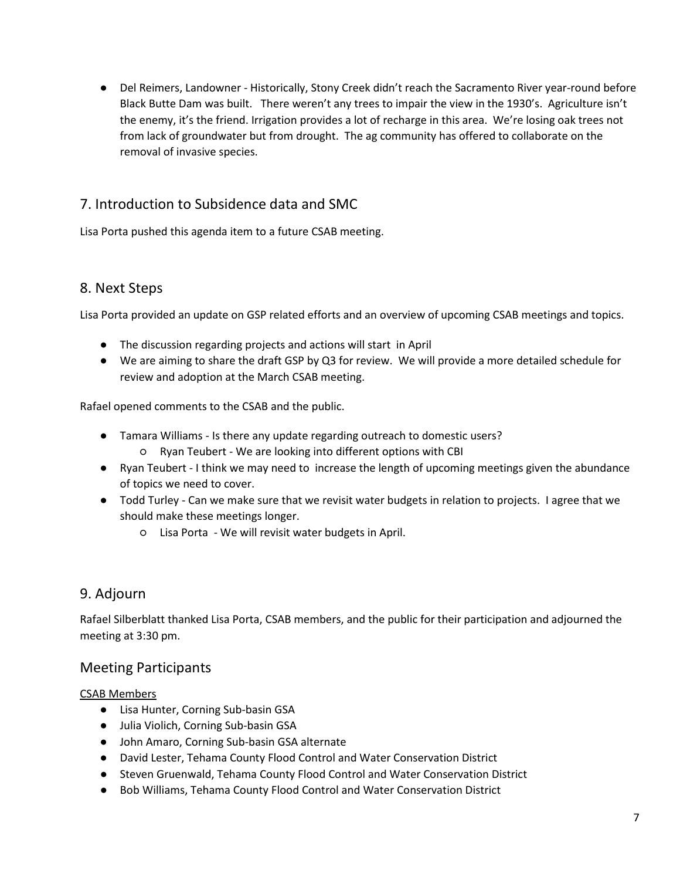● Del Reimers, Landowner - Historically, Stony Creek didn't reach the Sacramento River year-round before Black Butte Dam was built. There weren't any trees to impair the view in the 1930's. Agriculture isn't the enemy, it's the friend. Irrigation provides a lot of recharge in this area. We're losing oak trees not from lack of groundwater but from drought. The ag community has offered to collaborate on the removal of invasive species.

# 7. Introduction to Subsidence data and SMC

Lisa Porta pushed this agenda item to a future CSAB meeting.

## 8. Next Steps

Lisa Porta provided an update on GSP related efforts and an overview of upcoming CSAB meetings and topics.

- The discussion regarding projects and actions will start in April
- We are aiming to share the draft GSP by Q3 for review. We will provide a more detailed schedule for review and adoption at the March CSAB meeting.

Rafael opened comments to the CSAB and the public.

- Tamara Williams Is there any update regarding outreach to domestic users?
	- Ryan Teubert We are looking into different options with CBI
- Ryan Teubert I think we may need to increase the length of upcoming meetings given the abundance of topics we need to cover.
- Todd Turley Can we make sure that we revisit water budgets in relation to projects. I agree that we should make these meetings longer.
	- Lisa Porta We will revisit water budgets in April.

# 9. Adjourn

Rafael Silberblatt thanked Lisa Porta, CSAB members, and the public for their participation and adjourned the meeting at 3:30 pm.

# Meeting Participants

### CSAB Members

- Lisa Hunter, Corning Sub-basin GSA
- Julia Violich, Corning Sub-basin GSA
- John Amaro, Corning Sub-basin GSA alternate
- David Lester, Tehama County Flood Control and Water Conservation District
- Steven Gruenwald, Tehama County Flood Control and Water Conservation District
- Bob Williams, Tehama County Flood Control and Water Conservation District